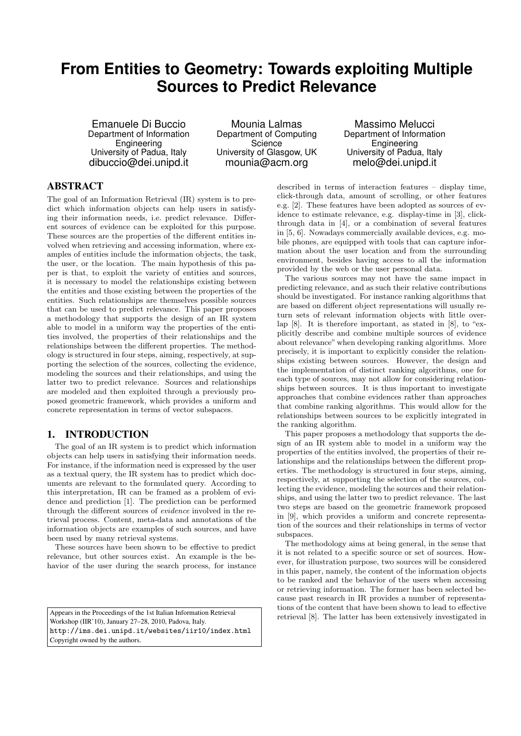# **From Entities to Geometry: Towards exploiting Multiple Sources to Predict Relevance**

Emanuele Di Buccio Department of Information **Engineering** University of Padua, Italy dibuccio@dei.unipd.it

Mounia Lalmas Department of Computing **Science** University of Glasgow, UK mounia@acm.org

Massimo Melucci Department of Information Engineering University of Padua, Italy melo@dei.unipd.it

# ABSTRACT

The goal of an Information Retrieval (IR) system is to predict which information objects can help users in satisfying their information needs, i.e. predict relevance. Different sources of evidence can be exploited for this purpose. These sources are the properties of the different entities involved when retrieving and accessing information, where examples of entities include the information objects, the task, the user, or the location. The main hypothesis of this paper is that, to exploit the variety of entities and sources, it is necessary to model the relationships existing between the entities and those existing between the properties of the entities. Such relationships are themselves possible sources that can be used to predict relevance. This paper proposes a methodology that supports the design of an IR system able to model in a uniform way the properties of the entities involved, the properties of their relationships and the relationships between the different properties. The methodology is structured in four steps, aiming, respectively, at supporting the selection of the sources, collecting the evidence, modeling the sources and their relationships, and using the latter two to predict relevance. Sources and relationships are modeled and then exploited through a previously proposed geometric framework, which provides a uniform and concrete representation in terms of vector subspaces.

### 1. INTRODUCTION

The goal of an IR system is to predict which information objects can help users in satisfying their information needs. For instance, if the information need is expressed by the user as a textual query, the IR system has to predict which documents are relevant to the formulated query. According to this interpretation, IR can be framed as a problem of evidence and prediction [1]. The prediction can be performed through the different sources of evidence involved in the retrieval process. Content, meta-data and annotations of the information objects are examples of such sources, and have been used by many retrieval systems.

These sources have been shown to be effective to predict relevance, but other sources exist. An example is the behavior of the user during the search process, for instance

Appears in the Proceedings of the 1st Italian Information Retrieval Workshop (IIR'10), January 27–28, 2010, Padova, Italy. http://ims.dei.unipd.it/websites/iir10/index.html Copyright owned by the authors.

described in terms of interaction features – display time, click-through data, amount of scrolling, or other features e.g. [2]. These features have been adopted as sources of evidence to estimate relevance, e.g. display-time in [3], clickthrough data in [4], or a combination of several features in [5, 6]. Nowadays commercially available devices, e.g. mobile phones, are equipped with tools that can capture information about the user location and from the surrounding environment, besides having access to all the information provided by the web or the user personal data.

The various sources may not have the same impact in predicting relevance, and as such their relative contributions should be investigated. For instance ranking algorithms that are based on different object representations will usually return sets of relevant information objects with little overlap [8]. It is therefore important, as stated in [8], to "explicitly describe and combine multiple sources of evidence about relevance" when developing ranking algorithms. More precisely, it is important to explicitly consider the relationships existing between sources. However, the design and the implementation of distinct ranking algorithms, one for each type of sources, may not allow for considering relationships between sources. It is thus important to investigate approaches that combine evidences rather than approaches that combine ranking algorithms. This would allow for the relationships between sources to be explicitly integrated in the ranking algorithm.

This paper proposes a methodology that supports the design of an IR system able to model in a uniform way the properties of the entities involved, the properties of their relationships and the relationships between the different properties. The methodology is structured in four steps, aiming, respectively, at supporting the selection of the sources, collecting the evidence, modeling the sources and their relationships, and using the latter two to predict relevance. The last two steps are based on the geometric framework proposed in [9], which provides a uniform and concrete representation of the sources and their relationships in terms of vector subspaces.

The methodology aims at being general, in the sense that it is not related to a specific source or set of sources. However, for illustration purpose, two sources will be considered in this paper, namely, the content of the information objects to be ranked and the behavior of the users when accessing or retrieving information. The former has been selected because past research in IR provides a number of representations of the content that have been shown to lead to effective retrieval [8]. The latter has been extensively investigated in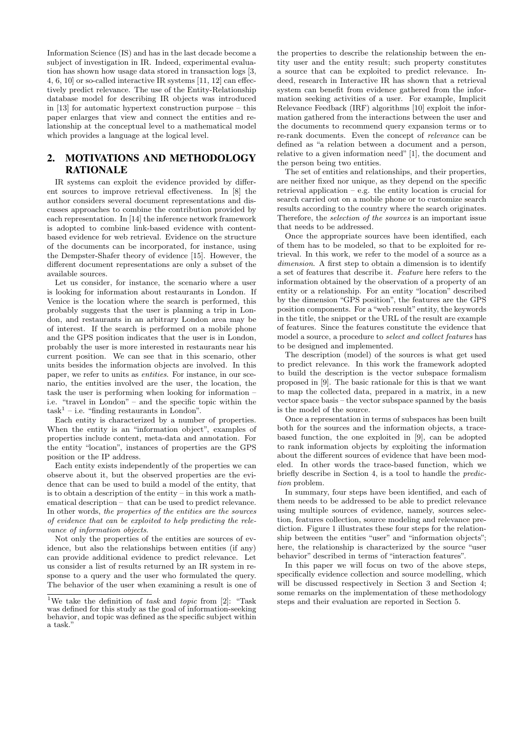Information Science (IS) and has in the last decade become a subject of investigation in IR. Indeed, experimental evaluation has shown how usage data stored in transaction logs [3, 4, 6, 10] or so-called interactive IR systems [11, 12] can effectively predict relevance. The use of the Entity-Relationship database model for describing IR objects was introduced in [13] for automatic hypertext construction purpose – this paper enlarges that view and connect the entities and relationship at the conceptual level to a mathematical model which provides a language at the logical level.

## 2. MOTIVATIONS AND METHODOLOGY RATIONALE

IR systems can exploit the evidence provided by different sources to improve retrieval effectiveness. In [8] the author considers several document representations and discusses approaches to combine the contribution provided by each representation. In [14] the inference network framework is adopted to combine link-based evidence with contentbased evidence for web retrieval. Evidence on the structure of the documents can be incorporated, for instance, using the Dempster-Shafer theory of evidence [15]. However, the different document representations are only a subset of the available sources.

Let us consider, for instance, the scenario where a user is looking for information about restaurants in London. If Venice is the location where the search is performed, this probably suggests that the user is planning a trip in London, and restaurants in an arbitrary London area may be of interest. If the search is performed on a mobile phone and the GPS position indicates that the user is in London, probably the user is more interested in restaurants near his current position. We can see that in this scenario, other units besides the information objects are involved. In this paper, we refer to units as entities. For instance, in our scenario, the entities involved are the user, the location, the task the user is performing when looking for information – i.e. "travel in London" – and the specific topic within the  $task<sup>1</sup> - i.e.$  "finding restaurants in London".

Each entity is characterized by a number of properties. When the entity is an "information object", examples of properties include content, meta-data and annotation. For the entity "location", instances of properties are the GPS position or the IP address.

Each entity exists independently of the properties we can observe about it, but the observed properties are the evidence that can be used to build a model of the entity, that is to obtain a description of the entity – in this work a mathematical description – that can be used to predict relevance. In other words, the properties of the entities are the sources of evidence that can be exploited to help predicting the relevance of information objects.

Not only the properties of the entities are sources of evidence, but also the relationships between entities (if any) can provide additional evidence to predict relevance. Let us consider a list of results returned by an IR system in response to a query and the user who formulated the query. The behavior of the user when examining a result is one of

the properties to describe the relationship between the entity user and the entity result; such property constitutes a source that can be exploited to predict relevance. Indeed, research in Interactive IR has shown that a retrieval system can benefit from evidence gathered from the information seeking activities of a user. For example, Implicit Relevance Feedback (IRF) algorithms [10] exploit the information gathered from the interactions between the user and the documents to recommend query expansion terms or to re-rank documents. Even the concept of relevance can be defined as "a relation between a document and a person, relative to a given information need" [1], the document and the person being two entities.

The set of entities and relationships, and their properties, are neither fixed nor unique, as they depend on the specific retrieval application – e.g. the entity location is crucial for search carried out on a mobile phone or to customize search results according to the country where the search originates. Therefore, the selection of the sources is an important issue that needs to be addressed.

Once the appropriate sources have been identified, each of them has to be modeled, so that to be exploited for retrieval. In this work, we refer to the model of a source as a dimension. A first step to obtain a dimension is to identify a set of features that describe it. Feature here refers to the information obtained by the observation of a property of an entity or a relationship. For an entity "location" described by the dimension "GPS position", the features are the GPS position components. For a "web result"entity, the keywords in the title, the snippet or the URL of the result are example of features. Since the features constitute the evidence that model a source, a procedure to select and collect features has to be designed and implemented.

The description (model) of the sources is what get used to predict relevance. In this work the framework adopted to build the description is the vector subspace formalism proposed in [9]. The basic rationale for this is that we want to map the collected data, prepared in a matrix, in a new vector space basis – the vector subspace spanned by the basis is the model of the source.

Once a representation in terms of subspaces has been built both for the sources and the information objects, a tracebased function, the one exploited in [9], can be adopted to rank information objects by exploiting the information about the different sources of evidence that have been modeled. In other words the trace-based function, which we briefly describe in Section 4, is a tool to handle the prediction problem.

In summary, four steps have been identified, and each of them needs to be addressed to be able to predict relevance using multiple sources of evidence, namely, sources selection, features collection, source modeling and relevance prediction. Figure 1 illustrates these four steps for the relationship between the entities "user" and "information objects"; here, the relationship is characterized by the source "user behavior" described in terms of "interaction features".

In this paper we will focus on two of the above steps, specifically evidence collection and source modelling, which will be discussed respectively in Section 3 and Section 4; some remarks on the implementation of these methodology steps and their evaluation are reported in Section 5.

<sup>&</sup>lt;sup>1</sup>We take the definition of task and topic from [2]: "Task was defined for this study as the goal of information-seeking behavior, and topic was defined as the specific subject within a task."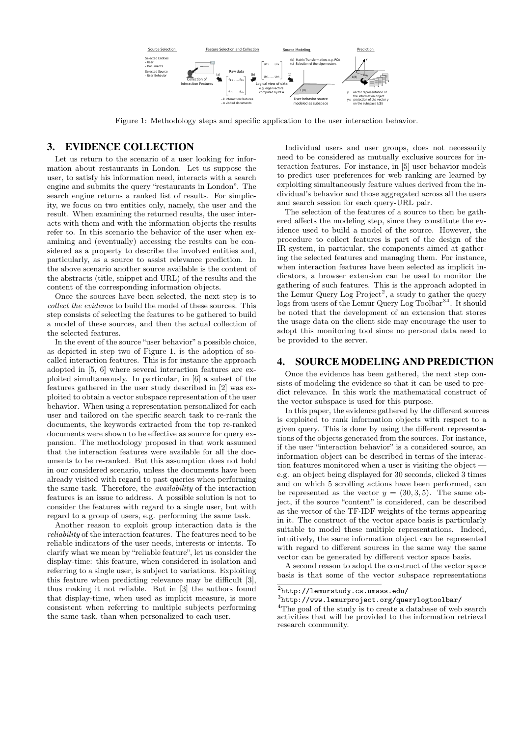

Figure 1: Methodology steps and specific application to the user interaction behavior.

#### 3. EVIDENCE COLLECTION

Let us return to the scenario of a user looking for information about restaurants in London. Let us suppose the user, to satisfy his information need, interacts with a search engine and submits the query "restaurants in London". The search engine returns a ranked list of results. For simplicity, we focus on two entities only, namely, the user and the result. When examining the returned results, the user interacts with them and with the information objects the results refer to. In this scenario the behavior of the user when examining and (eventually) accessing the results can be considered as a property to describe the involved entities and, particularly, as a source to assist relevance prediction. In the above scenario another source available is the content of the abstracts (title, snippet and URL) of the results and the content of the corresponding information objects.

Once the sources have been selected, the next step is to collect the evidence to build the model of these sources. This step consists of selecting the features to be gathered to build a model of these sources, and then the actual collection of the selected features.

In the event of the source "user behavior" a possible choice, as depicted in step two of Figure 1, is the adoption of socalled interaction features. This is for instance the approach adopted in [5, 6] where several interaction features are exploited simultaneously. In particular, in [6] a subset of the features gathered in the user study described in [2] was exploited to obtain a vector subspace representation of the user behavior. When using a representation personalized for each user and tailored on the specific search task to re-rank the documents, the keywords extracted from the top re-ranked documents were shown to be effective as source for query expansion. The methodology proposed in that work assumed that the interaction features were available for all the documents to be re-ranked. But this assumption does not hold in our considered scenario, unless the documents have been already visited with regard to past queries when performing the same task. Therefore, the availability of the interaction features is an issue to address. A possible solution is not to consider the features with regard to a single user, but with regard to a group of users, e.g. performing the same task.

Another reason to exploit group interaction data is the reliability of the interaction features. The features need to be reliable indicators of the user needs, interests or intents. To clarify what we mean by "reliable feature", let us consider the display-time: this feature, when considered in isolation and referring to a single user, is subject to variations. Exploiting this feature when predicting relevance may be difficult [3], thus making it not reliable. But in [3] the authors found that display-time, when used as implicit measure, is more consistent when referring to multiple subjects performing the same task, than when personalized to each user.

Individual users and user groups, does not necessarily need to be considered as mutually exclusive sources for interaction features. For instance, in [5] user behavior models to predict user preferences for web ranking are learned by exploiting simultaneously feature values derived from the individual's behavior and those aggregated across all the users and search session for each query-URL pair.

The selection of the features of a source to then be gathered affects the modeling step, since they constitute the evidence used to build a model of the source. However, the procedure to collect features is part of the design of the IR system, in particular, the components aimed at gathering the selected features and managing them. For instance, when interaction features have been selected as implicit indicators, a browser extension can be used to monitor the gathering of such features. This is the approach adopted in the Lemur Query Log  $Project<sup>2</sup>$ , a study to gather the query logs from users of the Lemur Query Log Toolbar<sup>34</sup>. It should be noted that the development of an extension that stores the usage data on the client side may encourage the user to adopt this monitoring tool since no personal data need to be provided to the server.

#### 4. SOURCE MODELING AND PREDICTION

Once the evidence has been gathered, the next step consists of modeling the evidence so that it can be used to predict relevance. In this work the mathematical construct of the vector subspace is used for this purpose.

In this paper, the evidence gathered by the different sources is exploited to rank information objects with respect to a given query. This is done by using the different representations of the objects generated from the sources. For instance, if the user "interaction behavior" is a considered source, an information object can be described in terms of the interaction features monitored when a user is visiting the object e.g. an object being displayed for 30 seconds, clicked 3 times and on which 5 scrolling actions have been performed, can be represented as the vector  $y = (30, 3, 5)$ . The same object, if the source "content" is considered, can be described as the vector of the TF·IDF weights of the terms appearing in it. The construct of the vector space basis is particularly suitable to model these multiple representations. Indeed, intuitively, the same information object can be represented with regard to different sources in the same way the same vector can be generated by different vector space basis.

A second reason to adopt the construct of the vector space basis is that some of the vector subspace representations

 $^{2}$ http://lemurstudy.cs.umass.edu/

<sup>3</sup> http://www.lemurproject.org/querylogtoolbar/

<sup>&</sup>lt;sup>4</sup>The goal of the study is to create a database of web search activities that will be provided to the information retrieval research community.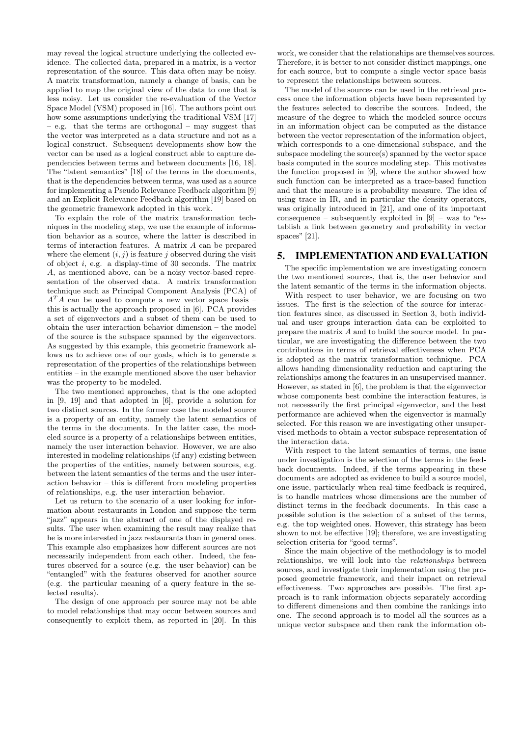may reveal the logical structure underlying the collected evidence. The collected data, prepared in a matrix, is a vector representation of the source. This data often may be noisy. A matrix transformation, namely a change of basis, can be applied to map the original view of the data to one that is less noisy. Let us consider the re-evaluation of the Vector Space Model (VSM) proposed in [16]. The authors point out how some assumptions underlying the traditional VSM [17] – e.g. that the terms are orthogonal – may suggest that the vector was interpreted as a data structure and not as a logical construct. Subsequent developments show how the vector can be used as a logical construct able to capture dependencies between terms and between documents [16, 18]. The "latent semantics" [18] of the terms in the documents, that is the dependencies between terms, was used as a source for implementing a Pseudo Relevance Feedback algorithm [9] and an Explicit Relevance Feedback algorithm [19] based on the geometric framework adopted in this work.

To explain the role of the matrix transformation techniques in the modeling step, we use the example of information behavior as a source, where the latter is described in terms of interaction features. A matrix A can be prepared where the element  $(i, j)$  is feature j observed during the visit of object  $i$ , e.g. a display-time of 30 seconds. The matrix A, as mentioned above, can be a noisy vector-based representation of the observed data. A matrix transformation technique such as Principal Component Analysis (PCA) of  $A<sup>T</sup>A$  can be used to compute a new vector space basis – this is actually the approach proposed in [6]. PCA provides a set of eigenvectors and a subset of them can be used to obtain the user interaction behavior dimension – the model of the source is the subspace spanned by the eigenvectors. As suggested by this example, this geometric framework allows us to achieve one of our goals, which is to generate a representation of the properties of the relationships between entities – in the example mentioned above the user behavior was the property to be modeled.

The two mentioned approaches, that is the one adopted in [9, 19] and that adopted in [6], provide a solution for two distinct sources. In the former case the modeled source is a property of an entity, namely the latent semantics of the terms in the documents. In the latter case, the modeled source is a property of a relationships between entities, namely the user interaction behavior. However, we are also interested in modeling relationships (if any) existing between the properties of the entities, namely between sources, e.g. between the latent semantics of the terms and the user interaction behavior – this is different from modeling properties of relationships, e.g. the user interaction behavior.

Let us return to the scenario of a user looking for information about restaurants in London and suppose the term "jazz" appears in the abstract of one of the displayed results. The user when examining the result may realize that he is more interested in jazz restaurants than in general ones. This example also emphasizes how different sources are not necessarily independent from each other. Indeed, the features observed for a source (e.g. the user behavior) can be "entangled" with the features observed for another source (e.g. the particular meaning of a query feature in the selected results).

The design of one approach per source may not be able to model relationships that may occur between sources and consequently to exploit them, as reported in [20]. In this

work, we consider that the relationships are themselves sources. Therefore, it is better to not consider distinct mappings, one for each source, but to compute a single vector space basis to represent the relationships between sources.

The model of the sources can be used in the retrieval process once the information objects have been represented by the features selected to describe the sources. Indeed, the measure of the degree to which the modeled source occurs in an information object can be computed as the distance between the vector representation of the information object, which corresponds to a one-dimensional subspace, and the subspace modeling the source(s) spanned by the vector space basis computed in the source modeling step. This motivates the function proposed in [9], where the author showed how such function can be interpreted as a trace-based function and that the measure is a probability measure. The idea of using trace in IR, and in particular the density operators, was originally introduced in [21], and one of its important consequence – subsequently exploited in  $[9]$  – was to "establish a link between geometry and probability in vector spaces" [21].

#### 5. IMPLEMENTATION AND EVALUATION

The specific implementation we are investigating concern the two mentioned sources, that is, the user behavior and the latent semantic of the terms in the information objects.

With respect to user behavior, we are focusing on two issues. The first is the selection of the source for interaction features since, as discussed in Section 3, both individual and user groups interaction data can be exploited to prepare the matrix  $A$  and to build the source model. In particular, we are investigating the difference between the two contributions in terms of retrieval effectiveness when PCA is adopted as the matrix transformation technique. PCA allows handing dimensionality reduction and capturing the relationships among the features in an unsupervised manner. However, as stated in [6], the problem is that the eigenvector whose components best combine the interaction features, is not necessarily the first principal eigenvector, and the best performance are achieved when the eigenvector is manually selected. For this reason we are investigating other unsupervised methods to obtain a vector subspace representation of the interaction data.

With respect to the latent semantics of terms, one issue under investigation is the selection of the terms in the feedback documents. Indeed, if the terms appearing in these documents are adopted as evidence to build a source model, one issue, particularly when real-time feedback is required, is to handle matrices whose dimensions are the number of distinct terms in the feedback documents. In this case a possible solution is the selection of a subset of the terms, e.g. the top weighted ones. However, this strategy has been shown to not be effective [19]; therefore, we are investigating selection criteria for "good terms".

Since the main objective of the methodology is to model relationships, we will look into the relationships between sources, and investigate their implementation using the proposed geometric framework, and their impact on retrieval effectiveness. Two approaches are possible. The first approach is to rank information objects separately according to different dimensions and then combine the rankings into one. The second approach is to model all the sources as a unique vector subspace and then rank the information ob